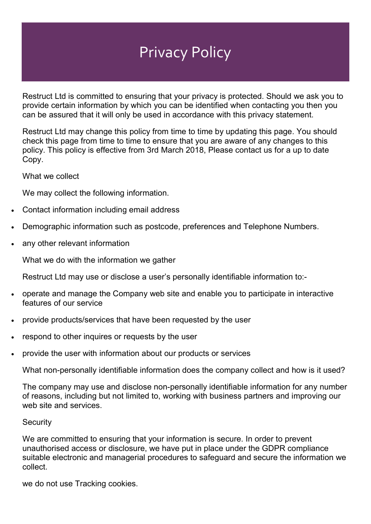## Privacy Policy

Restruct Ltd is committed to ensuring that your privacy is protected. Should we ask you to provide certain information by which you can be identified when contacting you then you can be assured that it will only be used in accordance with this privacy statement.

Restruct Ltd may change this policy from time to time by updating this page. You should check this page from time to time to ensure that you are aware of any changes to this policy. This policy is effective from 3rd March 2018, Please contact us for a up to date Copy.

What we collect

We may collect the following information.

- Contact information including email address
- Demographic information such as postcode, preferences and Telephone Numbers.
- any other relevant information

What we do with the information we gather

Restruct Ltd may use or disclose a user's personally identifiable information to:-

- operate and manage the Company web site and enable you to participate in interactive features of our service
- provide products/services that have been requested by the user
- respond to other inquires or requests by the user
- provide the user with information about our products or services

What non-personally identifiable information does the company collect and how is it used?

The company may use and disclose non-personally identifiable information for any number of reasons, including but not limited to, working with business partners and improving our web site and services.

## **Security**

We are committed to ensuring that your information is secure. In order to prevent unauthorised access or disclosure, we have put in place under the GDPR compliance suitable electronic and managerial procedures to safeguard and secure the information we collect.

we do not use Tracking cookies.